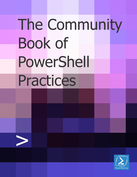# The Community **Book of** PowerShell Practices

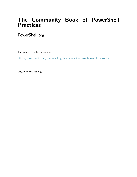#### **The Community Book of PowerShell Practices**

PowerShell.org

This project can be followed at:

<https://www.penflip.com/powershellorg/the-community-book-of-powershell-practices>

©2016 PowerShell.org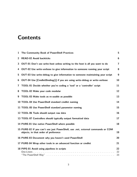## **Contents**

| 1              | The Community Book of PowerShell Practices                                                                              | 5                       |
|----------------|-------------------------------------------------------------------------------------------------------------------------|-------------------------|
| $\overline{2}$ | <b>READ-02 Avoid backticks</b>                                                                                          | $6\phantom{1}$          |
| 3              | OUT-01 Don't use write-host unless writing to the host is all you want to do                                            | $\overline{\mathbf{r}}$ |
| 4              | OUT-02 Use write-verbose to give information to someone running your script                                             | 8                       |
| 5              | OUT-03 Use write-debug to give information to someone maintaining your script                                           | $\boldsymbol{9}$        |
| 6              | OUT-04 Use [CmdletBinding()] if you are using write-debug or write-verbose                                              | 10                      |
| 7              | TOOL-01 Decide whether you're coding a 'tool' or a 'controller' script                                                  | 11                      |
| 8              | TOOL-02 Make your code modular                                                                                          | 12                      |
| 9              | TOOL-03 Make tools as re-usable as possible                                                                             | 13                      |
|                | 10 TOOL-04 Use PowerShell standard cmdlet naming                                                                        | 14                      |
|                | 11 TOOL-05 Use PowerShell standard parameter naming                                                                     | 15                      |
|                | 12 TOOL-06 Tools should output raw data                                                                                 | 16                      |
|                | 13 TOOL-07 Controllers should typically output formatted data                                                           | 17                      |
|                | 14 PURE-01 Use native PowerShell where possible                                                                         | 18                      |
|                | 15 PURE-02 If you can't use just PowerShell, use .net, external commands or COM<br>objects, in that order of preference | 19                      |
|                | 16 PURE-03 Document why you haven't used PowerShell                                                                     | 20                      |
|                | 17 PURE-04 Wrap other tools in an advanced function or cmdlet                                                           | 21                      |
|                | 18 PIPE-01 Avoid using pipelines in scripts<br>One-Liners .                                                             | 22<br>22<br>23          |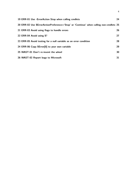|  | 19 ERR-01 Use - Error Action Stop when calling cmdlets                                 | 24 |
|--|----------------------------------------------------------------------------------------|----|
|  | 20 ERR-02 Use \$ErrorActionPreference='Stop' or 'Continue' when calling non-cmdlets 25 |    |
|  | 21 ERR-03 Avoid using flags to handle errors                                           | 26 |
|  | 22 ERR-04 Avoid using \$?                                                              | 27 |
|  | 23 ERR-05 Avoid testing for a null variable as an error condition                      | 28 |
|  | 24 ERR-06 Copy \$Error[0] to your own variable                                         | 29 |
|  | 25 WAST-01 Don't re-invent the wheel                                                   | 30 |
|  | 26 WAST-02 Report bugs to Microsoft                                                    | 31 |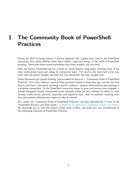#### <span id="page-4-0"></span>**1 The Community Book of PowerShell Practices**

During the 2013 Scripting Games, it became apparent that a great many folks in the PowerShell community have vastly different ideas about what's "right and wrong" in the world of PowerShell scripting. Some folks down-scored techniques that others praised, and vice-versa.

After the Games, PowerShell.org ran a series of "Great Debate" blog posts, outlining some of the more controversial issues and asking for community input. The catch is the input had to not only state what the person thought was best, but very specifically why they thought that.

Those discussions got people thinking, and provided the basis for a "Community Book of PowerShell Practices." Over time, however, some of those practices started to show their age, and the fact that they'd come from a discussion involving a specific audience - systems administrators participating in a scripting competition. As the PowerShell community began to grow and become more engaged, a broader discussion ensued. Automated script analyzers joined the mix, offering the ability to more formally codify certain practices, especially with regard to style. And, an audience involving more than just systems administrators began to take an interest.

As a result, the "Community Book of PowerShell Practices" has been discontinued, in favor of the "PowerShell Practice and Style Guide," [available as an open-source Markdown project on GitHub.](https://t.co/tuVwsOa0k9) We encourage you to visit that project, review what it offers, and make your own contributions to the continuing evolution of PowerShell Practices.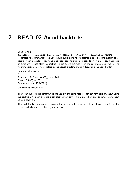#### <span id="page-5-0"></span>**2 READ-02 Avoid backticks**

#### Consider this:

Get-WmiObject -Class Win32\\_LogicalDisk ` -Filter "DriveType=3" ` -ComputerName SERVER2 In general, the community feels you should avoid using those backticks as "line continuation characters" when possible. They're hard to read, easy to miss, and easy to mis-type. Also, if you add an extra whitespace after the backtick in the above example, then the command won't work. The resulting error is hard to correlate to the actual problem, making debugging the issue harder.

Here's an alternative:  $"''"$  $$params = @{Class=Win32\_LogicalDisk; }$ 

```
Filter='DriveType=3';
ComputerName=SERVER2}
```
Get-WmiObject @params  $"''"$ 

The technique is called *splatting*. It lets you get the same nice, broken-out formatting without using the backtick. You can also line break after almost any comma, pipe character, or semicolon without using a backtick.

The backtick is not universally hated - but it can be inconvenient. If you have to use it for line breaks, well then, use it. Just try not to have to.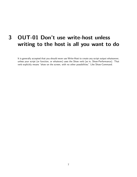# <span id="page-6-0"></span>**3 OUT-01 Don't use write-host unless writing to the host is all you want to do**

It is generally accepted that you should never use Write-Host to create any script output whatsoever, unless your script (or function, or whatever) uses the Show verb (as in, Show-Performance). That verb explicitly means "show on the screen, with no other possibilities." Like Show-Command.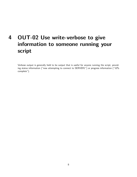# <span id="page-7-0"></span>**4 OUT-02 Use write-verbose to give information to someone running your script**

Verbose output is generally held to be output that is useful for anyone running the script, providing status information ("now attempting to connect to SERVER1") or progress information ("10% complete").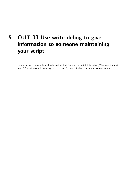# <span id="page-8-0"></span>**5 OUT-03 Use write-debug to give information to someone maintaining your script**

Debug output is generally held to be output that is useful for script debugging ("Now entering main loop," "Result was null, skipping to end of loop"), since it also creates a breakpoint prompt.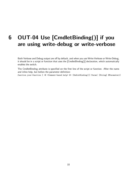## <span id="page-9-0"></span>**6 OUT-04 Use [CmdletBinding()] if you are using write-debug or write-verbose**

Both Verbose and Debug output are off by default, and when you use Write-Verbose or Write-Debug, it should be in a script or function that uses the [CmdletBinding()] declaration, which automatically enables the switch.

The CmdletBinding attribute is specified on the first line of the script or function. After the name and inline help, but before the parameter definition:

function your-function { <# <Comment-based help> #> [CmdletBinding()] Param( [String] \$Parameter1)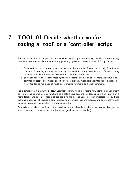## <span id="page-10-0"></span>**7 TOOL-01 Decide whether you're coding a 'tool' or a 'controller' script**

For this discussion, it's important to have some agreed-upon terminology. While the terminology here isn't used universally, the community generally agrees that several types of "script" exist:

- 1. Some scripts contain tools, when are meant to be reusable. These are typically functions or advanced functions, and they are typically contained in a script module or in a function library of some kind. These tools are designed for a high level of re-use.
- 2. Some scripts are controllers, meaning they are intended to utilize one or more tools (functions, commands, etc) to automate a specific business process. A script is not intended to be reusable; it is intended to make use of reuse by leveraging functions and other commands

For example, you might write a "New-CorpUser" script, which provisions new users. In it, you might call numerous commands and functions to create a user account, mailbox-enable them, provision a home folder, and so on. Those discrete tasks might also be used in other processes, so you build them as functions. The script is only intended to automate that one process, and so it doesn't need to exhibit reusability concepts. It's a standalone thing.

Controllers, on the other hand, often produce output directly to the screen (when designed for interactive use), or may log to a file (when designed to run unattended).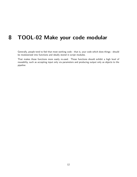#### <span id="page-11-0"></span>**8 TOOL-02 Make your code modular**

Generally, people tend to feel that most working code - that is, your code which does things - should be modularized into functions and ideally stored in script modules.

That makes those functions more easily re-used. Those functions should exhibit a high level of reusability, such as accepting input only via parameters and producing output only as objects to the pipeline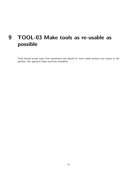# <span id="page-12-0"></span>**9 TOOL-03 Make tools as re-usable as possible**

Tools should accept input from parameters and should (in most cases) produce any output to the pipeline; this approach helps maximize reusability.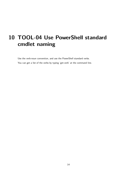# <span id="page-13-0"></span>**10 TOOL-04 Use PowerShell standard cmdlet naming**

Use the verb-noun convention, and use the PowerShell standard verbs. You can get a list of the verbs by typing 'get-verb' at the command line.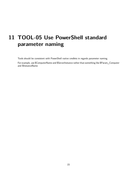# <span id="page-14-0"></span>**11 TOOL-05 Use PowerShell standard parameter naming**

Tools should be consistent with PowerShell native cmdlets in regards parameter naming.

For example, use \$ComputerName and \$ServerInstance rather than something like \$Param\_Computer and \$InstanceName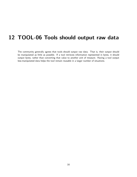# <span id="page-15-0"></span>**12 TOOL-06 Tools should output raw data**

The community generally agrees that tools should output raw data. That is, their output should be manipulated as little as possible. If a tool retrieves information represented in bytes, it should output bytes, rather than converting that value to another unit of measure. Having a tool output less-manipulated data helps the tool remain reusable in a larger number of situations.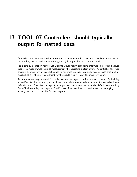#### <span id="page-16-0"></span>**13 TOOL-07 Controllers should typically output formatted data**

Controllers, on the other hand, may reformat or manipulate data because controllers do not aim to be reusable; they instead aim to do as good a job as possible at a particular task.

For example, a function named Get-DiskInfo would return disk sizing information in bytes, because that's the most-granular unit of measurement the operating system offers. A controller that was creating an inventory of free disk space might translate that into gigabytes, because that unit of measurement is the most convenient for the people who will view the inventory report.

An intermediate step is useful for tools that are packaged in script modules: views. By building a manifest for the module, you can have the module also include a custom .format.ps1xml view definition file. The view can specify manipulated data values, such as the default view used by PowerShell to display the output of Get-Process. The view does not manipulate the underlying data, leaving the raw data available for any purpose.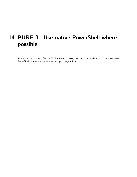# <span id="page-17-0"></span>**14 PURE-01 Use native PowerShell where possible**

This means not using COM, .NET Framework classes, and so on when there is a native Windows PowerShell command or technique that gets the job done.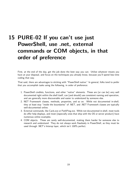# <span id="page-18-0"></span>**15 PURE-02 If you can't use just PowerShell, use .net, external commands or COM objects, in that order of preference**

First, at the end of the day, get the job done the best way you can. Utilize whatever means you have at your disposal, and focus on the techniques you already know, because you'll spend less time coding that way.

That said, there are advantages to sticking with "PowerShell native." In general, folks tend to prefer that you accomplish tasks using the following, in order of preference:

- 1. PowerShell cmdlets, functions, and other "native" elements. These are (or can be) very well documented right within the shell itself, can (and should) use consistent naming and operation, and are generally more discoverable and easier to understand by someone else.
- 2. NET Framework classes, methods, properties, and so on. While not documented in-shell, they at least stay "inside the boundaries" of .NET, and .NET Framework classes are typically well-documented online.
- 3. External commands, like Cacls.exe or PathPing.exe. While not documented in-shell, most tools do offer help displays, and most (especially ones that ship with the OS or server product) have numerous online examples.
- 4. COM objects. These are rarely well-documented, making them harder for someone else to research and understand. They do not always work flawlessly in PowerShell, as they must be used through .NET's Interop layer, which isn't 100% perfect.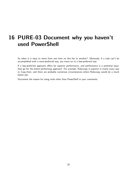#### <span id="page-19-0"></span>**16 PURE-03 Document why you haven't used PowerShell**

So when is it okay to move from one item on this list to another? Obviously, if a task can't be accomplished with a more-preferred way, you move on to a less-preferred way.

If a less-preferred approach offers far superior performance, and performance is a potential issue, then go for the better-performing approach. For example, Robocopy is superior in nearly every way to Copy-Item, and there are probably numerous circumstances where Robocopy would do a much better job.

Document the reason for using tools other than PowerShell in your comments.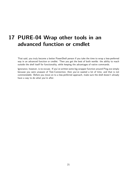#### <span id="page-20-0"></span>**17 PURE-04 Wrap other tools in an advanced function or cmdlet**

That said, you truly become a better PowerShell person if you take the time to wrap a less-preferred way in an advanced function or cmdlet. Then you get the best of both worlds: the ability to reach outside the shell itself for functionality, while keeping the advantages of native commands.

Ignorance, however, is no excuse. If you've written some big wrapper function around Ping.exe simply because you were unaware of Test-Connection, then you've wasted a lot of time, and that is not commendable. Before you move on to a less-preferred approach, make sure the shell doesn't already have a way to do what you're after.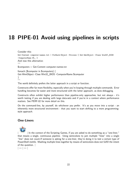## <span id="page-21-0"></span>**18 PIPE-01 Avoid using pipelines in scripts**

Consider this: Get-Content computer-names.txt | ForEach-Object -Process { Get-WmiObject -Class Win32\\_BIOS -ComputerName \$\\_ } And now this alternative:  $"''"$ \$computers = Get-Content computer-names.txt foreach (\$computer in \$computers) { Get-WmiObject -Class Win32\_BIOS -ComputerName \$computer }  $\tilde{u}$ 

The world definitely prefers the latter approach in a script or function.

Constructs offer far more flexibility, especially when you're looping through multiple commands. Error handling becomes far easier and more structured with the latter approach, as does debugging.

Constructs often exhibit higher performance than pipeline-only approaches, but not always - it's worth testing if you are dealing with large data-sets and if you're in a context where performance matters. See PERF-02 for more detail on this.

On the command-line, by yourself, do whichever you prefer. It's as you move into a script - an inherently more structured environment - that you want to start shifting to a more programmingstyle approach.

#### **One-Liners**

<span id="page-21-1"></span>

| In the context of the Scripting Games, if you are asked to do something as a "one-liner," that means a single, continuous pipeline. Using semicolons to jam multiple "lines" into a single "line" does not count.If someone is asking for a one-liner, they're doing it to test a certain type of PowerShell mettle. Mashing multiple lines together by means of semicolons does not fulfill the intent of the question. |

 $|-|-|$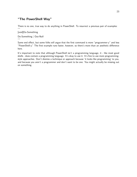#### **"The PowerShell Way"**

<span id="page-22-0"></span>There is no one, true way to do anything in PowerShell. To resurrect a previous pair of examples:  $\overline{a}$ 

[void]Do-Something

Do-Something | Out-Null  $^{\prime\prime}$ "

Same end effect, but some folks will argue that the first command is more "programmer-y" and less "PowerShell-y." The first example runs faster, however, so there's more than an aesthetic difference here.

It's important to note that although PowerShell isn't a programming language, it - like most good shells - does contain a programming language. It's okay to use it. It's fine to use more programmingstyle approaches. Don't dismiss a technique or approach because 'it looks like programming' to you, and because you aren't a programmer and don't want to be one. You might actually be missing out on something.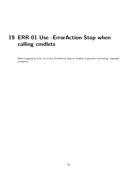# <span id="page-23-0"></span>**19 ERR-01 Use -ErrorAction Stop when calling cmdlets**

When trapping an error, try to use -ErrorAction Stop on cmdlets to generate terminating, trappable exceptions.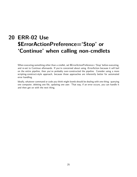# <span id="page-24-0"></span>**20 ERR-02 Use \$ErrorActionPreference='Stop' or 'Continue' when calling non-cmdlets**

When executing something other than a cmdlet, set \$ErrorActionPreference='Stop' before executing, and re-set to Continue afterwards. If you're concerned about using -ErrorAction because it will bail on the entire pipeline, then you've probably over-constructed the pipeline. Consider using a more scripting-construct-style approach, because those approaches are inherently better for automated error handling.

Ideally, whatever command or code you think might bomb should be dealing with one thing: querying one computer, deleting one file, updating one user. That way, if an error occurs, you can handle it and then get on with the next thing.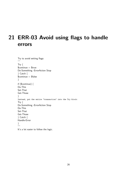# <span id="page-25-0"></span>**21 ERR-03 Avoid using flags to handle errors**

```
Try to avoid setting flags:
""Try {
$continue = $trueDo-Something -ErrorAction Stop
} Catch {
$continue = $false}
if ($continue) {
Do-This
Set-That
Get-Those
}
Instead, put the entire "transaction" into the Try block:
Try {
Do-Something -ErrorAction Stop
Do-This
Set-That
Get-Those
} Catch {
Handle-Error
}
"<br>""
```
It's a lot easier to follow the logic.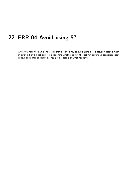#### <span id="page-26-0"></span>**22 ERR-04 Avoid using \$?**

When you need to examine the error that occurred, try to avoid using \$?. It actually doesn't mean an error did or did not occur; it's reporting whether or not the last-run command considered itself to have completed successfully. You get no details on what happened.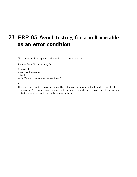### <span id="page-27-0"></span>**23 ERR-05 Avoid testing for a null variable as an error condition**

Also try to avoid testing for a null variable as an error condition:  $\overline{a}$ 

\$user = Get-ADUser -Identity DonJ

if (\$user)  $\{$ \$user | Do-Something } else [ Write-Warning "Could not get user \$user" } ""

There are times and technologies where that's the only approach that will work, especially if the command you're running won't produce a terminating, trappable exception. But it's a logically contorted approach, and it can make debugging trickier.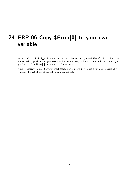### <span id="page-28-0"></span>**24 ERR-06 Copy \$Error[0] to your own variable**

Within a Catch block, \$\_ will contain the last error that occurred, as will \$Error[0]. Use either - but immediately copy them into your own variable, as executing additional commands can cause \$\_ to get "hijacked" or \$Error[0] to contain a different error.

It isn't necessary to clear \$Error in most cases. \$Error[0] will be the last error, and PowerShell will maintain the rest of the \$Error collection automatically.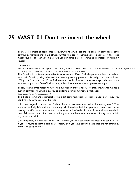#### <span id="page-29-0"></span>**25 WAST-01 Don't re-invent the wheel**

There are a number of approaches in PowerShell that will "get the job done." In some cases, other community members may have already written the code to achieve your objectives. If that code meets your needs, then you might save yourself some time by leveraging it, instead of writing it yourself.

For example:

Function Ping-Computer (\$computername){ \$ping = Get-WmiObject Win32\\_PingStatus -filter "Address='\$computername'" if (\$ping.StatusCode -eq 0){ return \$true } else { return \$false } }

This function has a few opportunities for enhancement. First of all, the parameter block is declared as a basic function; using advanced functions is generally preferred. Secondly, the command verb ("Ping") isn't an approved PowerShell command verb. This will cause warnings if the function is exported as part of a PowerShell module, unless they are otherwise suppressed on import.

Thirdly, there's little reason to write this function in PowerShell v2 or later. PowerShell v2 has a built-in command that will allow you to perform a similar function. Simply use:

Test-Connection \$computername -Quiet

This built-in command accomplishes the exact same task with less work on your part - e.g., you don't have to write your own function.

It has been argued by some that, "I didn't know such-and-such existed, so I wrote my own." That argument typically fails with the community, which tends to feel that ignorance is no excuse. Before making the effort to write some function or other unit of code, find out if the shell can already do that. Ask around. And, if you end up writing your own, be open to someone pointing out a built-in way to accomplish it.

On the flip side, it's important to note that writing your own code from the ground up can be useful if you are trying to learn a particular concept, or if you have specific needs that are not offered by another existing solution.